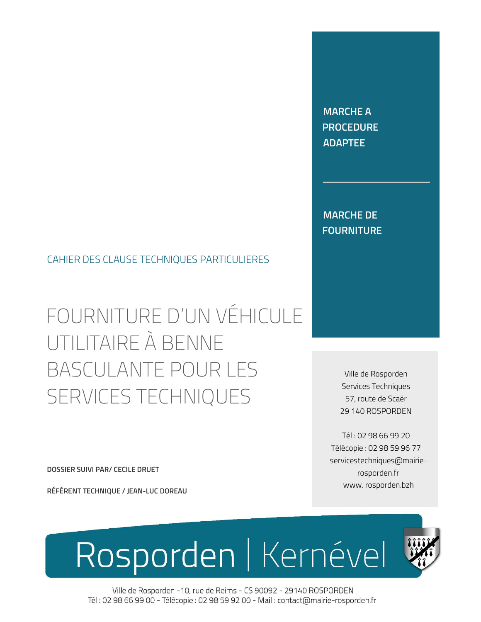Ville de Rosporden -10, rue de Reims - CS 90092 - 29140 ROSPORDEN Tél: 02 98 66 99 00 - Télécopie : 02 98 59 92 00 - Mail : contact@mairie-rosporden.fr

Rosporden | Kernével



Tél : 02 98 66 99 20 Télécopie : 02 98 59 96 77 servicestechniques@mairierosporden.fr www. rosporden.bzh

Ville de Rosporden Services Techniques 57, route de Scaër 29 140 ROSPORDEN

FOURNITURE D'UN VÉHICULE UTILITAIRE À BENNE BASCULANTE POUR LES SERVICES TECHNIQUES

DOSSIER SUIVI PAR/ CECILE DRUET

RÉFÉRENT TECHNIQUE / JEAN-LUC DOREAU

CAHIER DES CLAUSE TECHNIQUES PARTICULIERES

MARCHE DE FOURNITURE

MARCHE A **PROCEDURE** ADAPTEE